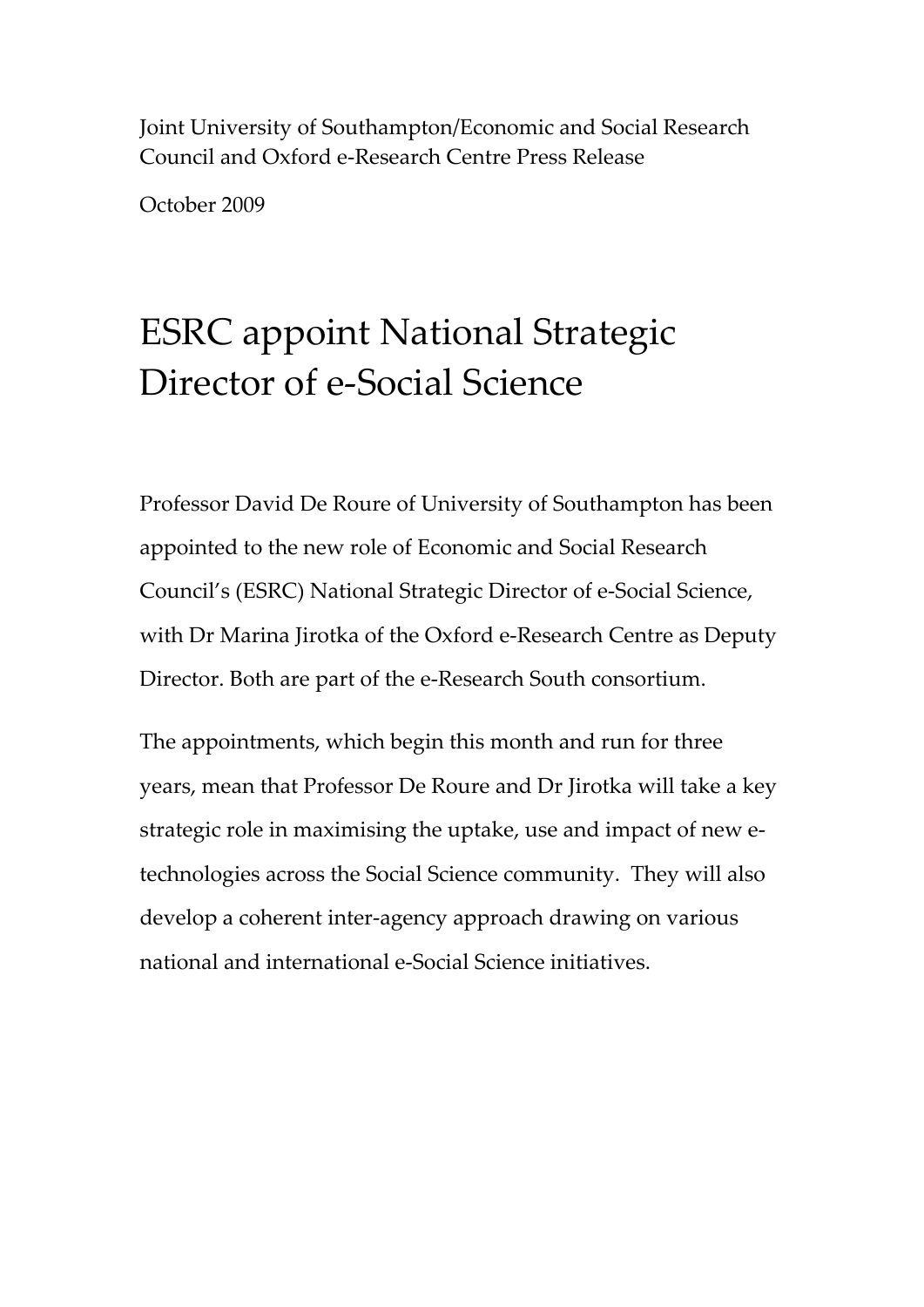Joint University of Southampton/Economic and Social Research Council and Oxford e‐Research Centre Press Release

October 2009

# ESRC appoint National Strategic Director of e-Social Science

Professor David De Roure of University of Southampton has been appointed to the new role of Economic and Social Research Council's (ESRC) National Strategic Director of e‐Social Science, with Dr Marina Jirotka of the Oxford e‐Research Centre as Deputy Director. Both are part of the e‐Research South consortium.

The appointments, which begin this month and run for three years, mean that Professor De Roure and Dr Jirotka will take a key strategic role in maximising the uptake, use and impact of new e‐ technologies across the Social Science community. They will also develop a coherent inter‐agency approach drawing on various national and international e‐Social Science initiatives.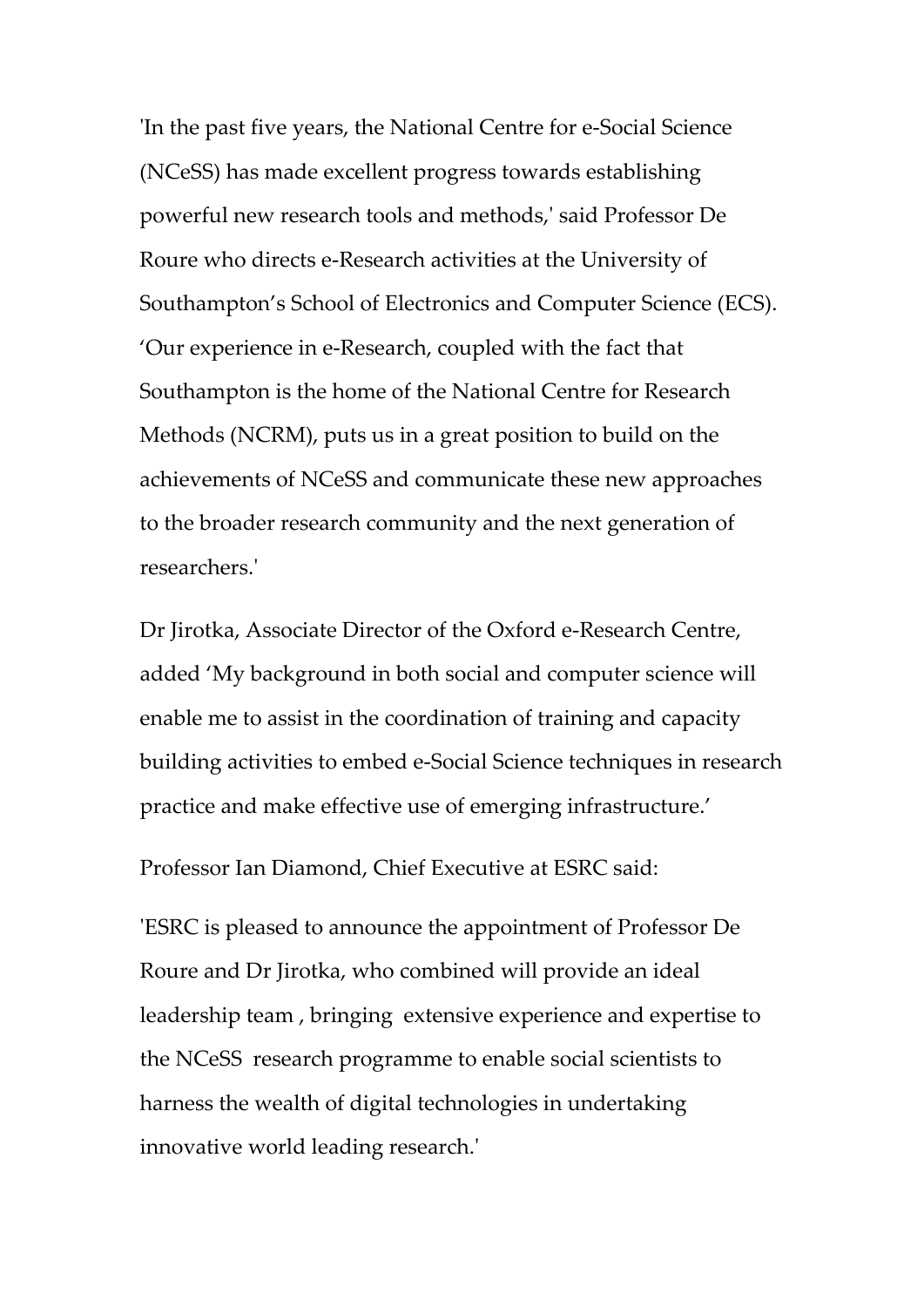ʹIn the past five years, the National Centre for e‐Social Science (NCeSS) has made excellent progress towards establishing powerful new research tools and methods,ʹ said Professor De Roure who directs e‐Research activities at the University of Southampton's School of Electronics and Computer Science (ECS). 'Our experience in e‐Research, coupled with the fact that Southampton is the home of the National Centre for Research Methods (NCRM), puts us in a great position to build on the achievements of NCeSS and communicate these new approaches to the broader research community and the next generation of researchers.ʹ

Dr Jirotka, Associate Director of the Oxford e‐Research Centre, added 'My background in both social and computer science will enable me to assist in the coordination of training and capacity building activities to embed e‐Social Science techniques in research practice and make effective use of emerging infrastructure.'

Professor Ian Diamond, Chief Executive at ESRC said:

ʹESRC is pleased to announce the appointment of Professor De Roure and Dr Jirotka, who combined will provide an ideal leadership team , bringing extensive experience and expertise to the NCeSS research programme to enable social scientists to harness the wealth of digital technologies in undertaking innovative world leading research.ʹ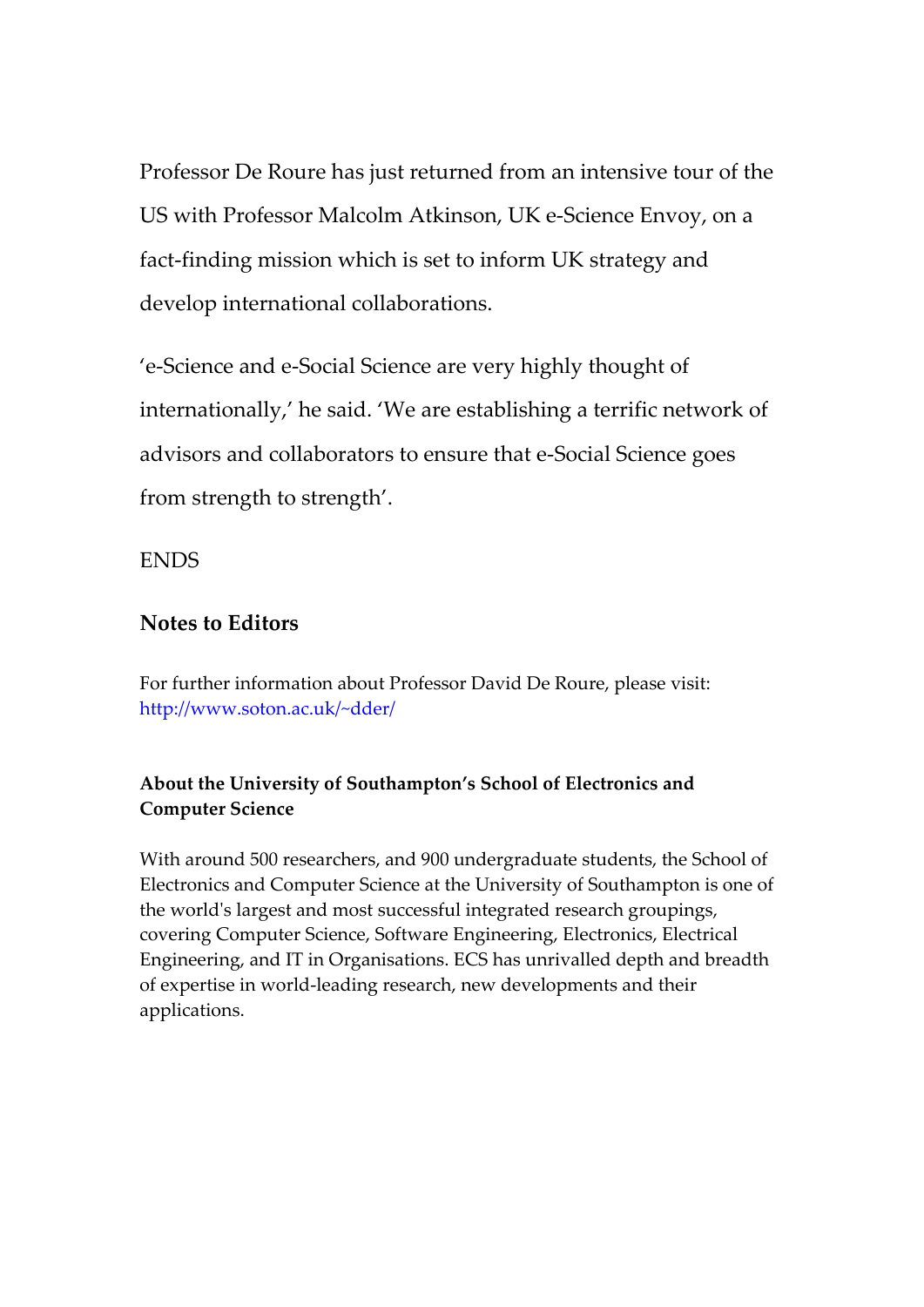Professor De Roure has just returned from an intensive tour of the US with Professor Malcolm Atkinson, UK e‐Science Envoy, on a fact-finding mission which is set to inform UK strategy and develop international collaborations.

'e‐Science and e‐Social Science are very highly thought of internationally,' he said. 'We are establishing a terrific network of advisors and collaborators to ensure that e‐Social Science goes from strength to strength'.

ENDS

## **Notes to Editors**

For further information about Professor David De Roure, please visit: http://www.soton.ac.uk/~dder/

### **About the University of Southampton's School of Electronics and Computer Science**

With around 500 researchers, and 900 undergraduate students, the School of Electronics and Computer Science at the University of Southampton is one of the worldʹs largest and most successful integrated research groupings, covering Computer Science, Software Engineering, Electronics, Electrical Engineering, and IT in Organisations. ECS has unrivalled depth and breadth of expertise in world‐leading research, new developments and their applications.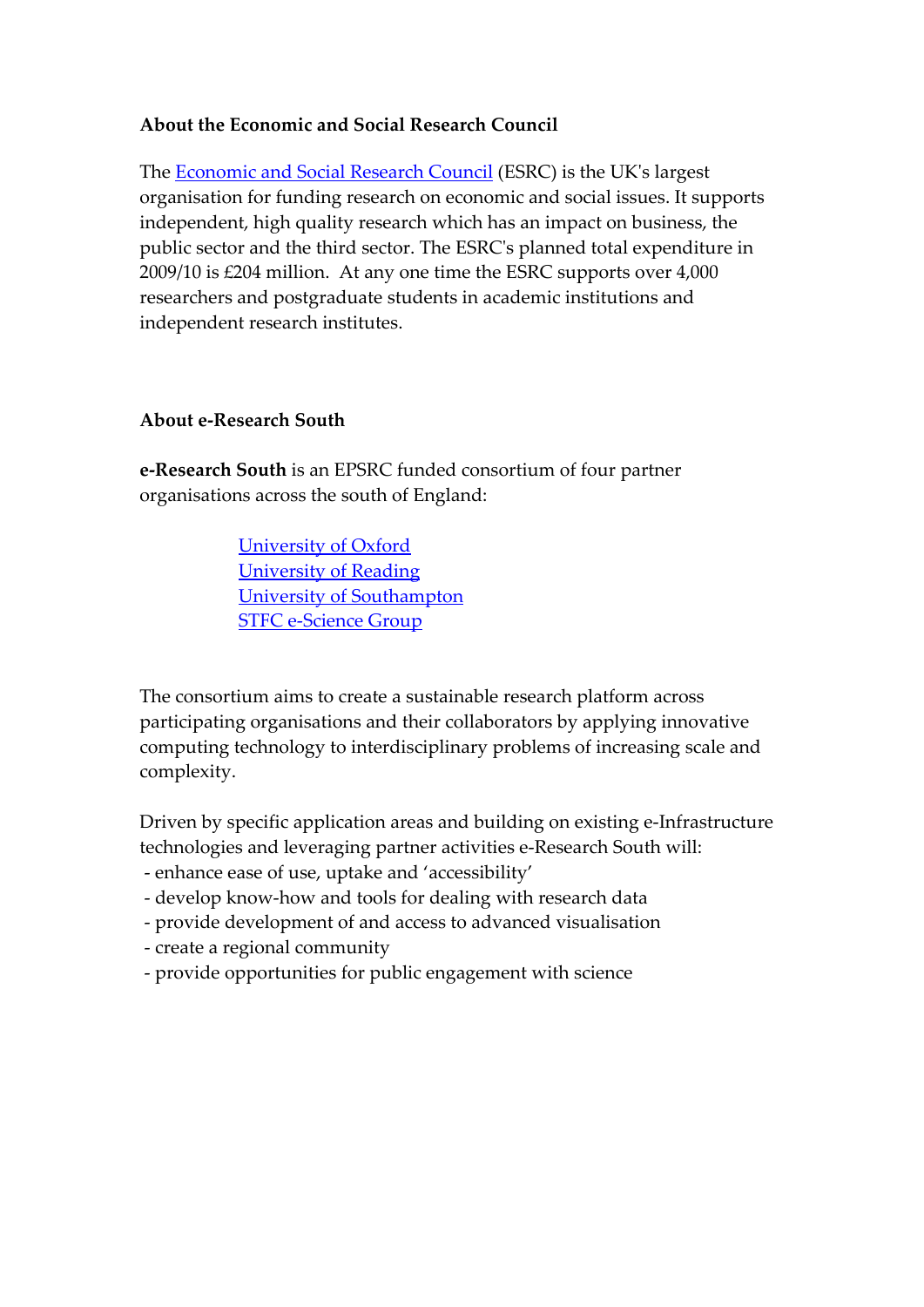#### **About the Economic and Social Research Council**

The [Economic](http://www.esrcsocietytoday.ac.uk/) and Social Research Council (ESRC) is the UKʹs largest organisation for funding research on economic and social issues. It supports independent, high quality research which has an impact on business, the public sector and the third sector. The ESRCʹs planned total expenditure in 2009/10 is £204 million. At any one time the ESRC supports over 4,000 researchers and postgraduate students in academic institutions and independent research institutes.

#### **About e‐Research South**

**e‐Research South** is an EPSRC funded consortium of four partner organisations across the south of England:

> [University](http://www.oerc.ox.ac.uk/) of Oxford [University](http://www.resc.rdg.ac.uk/) of Reading University of [Southampton](http://www.soton.ac.uk/) STFC e‐[Science](http://www.e-science.clrc.ac.uk/) Group

The consortium aims to create a sustainable research platform across participating organisations and their collaborators by applying innovative computing technology to interdisciplinary problems of increasing scale and complexity.

Driven by specific application areas and building on existing e‐Infrastructure technologies and leveraging partner activities e‐Research South will:

- ‐ enhance ease of use, uptake and 'accessibility'
- ‐ develop know‐how and tools for dealing with research data
- ‐ provide development of and access to advanced visualisation
- ‐ create a regional community
- ‐ provide opportunities for public engagement with science